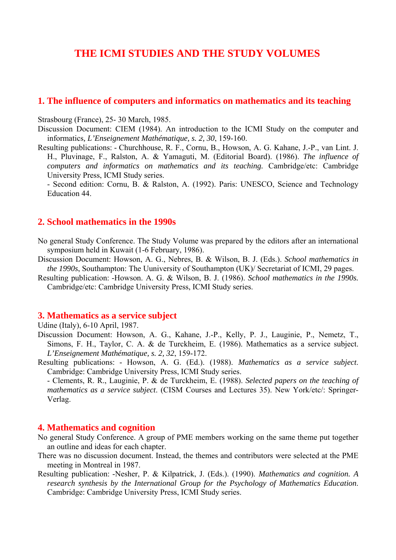# **THE ICMI STUDIES AND THE STUDY VOLUMES**

### **1. The influence of computers and informatics on mathematics and its teaching**

#### Strasbourg (France), 25- 30 March, 1985.

Discussion Document: CIEM (1984). An introduction to the ICMI Study on the computer and informatics*, L'Enseignement Mathématique, s. 2, 30*, 159-160.

Resulting publications: - Churchhouse, R. F., Cornu, B., Howson, A. G. Kahane, J.-P., van Lint. J. H., Pluvinage, F., Ralston, A. & Yamaguti, M. (Editorial Board). (1986). *The influence of computers and informatics on mathematics and its teaching.* Cambridge/etc: Cambridge University Press, ICMI Study series.

- Second edition: Cornu, B. & Ralston, A. (1992). Paris: UNESCO, Science and Technology Education 44.

### **2. School mathematics in the 1990s**

No general Study Conference. The Study Volume was prepared by the editors after an international symposium held in Kuwait (1-6 February, 1986).

- Discussion Document: Howson, A. G., Nebres, B. & Wilson, B. J. (Eds.). *School mathematics in the 1990s*, Southampton: The Uuniversity of Southampton (UK)/ Secretariat of ICMI, 29 pages.
- Resulting publication: -Howson. A. G. & Wilson, B. J. (1986). *School mathematics in the 1990s.* Cambridge/etc: Cambridge University Press, ICMI Study series.

#### **3. Mathematics as a service subject**

### Udine (Italy), 6-10 April, 1987.

- Discussion Document: Howson, A. G., Kahane, J.-P., Kelly, P. J., Lauginie, P., Nemetz, T., Simons, F. H., Taylor, C. A. & de Turckheim, E. (1986). Mathematics as a service subject. *L'Enseignement Mathématique, s. 2, 32*, 159-172.
- Resulting publications: Howson, A. G. (Ed.). (1988). *Mathematics as a service subject*. Cambridge: Cambridge University Press, ICMI Study series.

- Clements, R. R., Lauginie, P. & de Turckheim, E. (1988). *Selected papers on the teaching of mathematics as a service subject*. (CISM Courses and Lectures 35). New York/etc/: Springer-Verlag.

#### **4. Mathematics and cognition**

- No general Study Conference. A group of PME members working on the same theme put together an outline and ideas for each chapter.
- There was no discussion document. Instead, the themes and contributors were selected at the PME meeting in Montreal in 1987.
- Resulting publication: -Nesher, P. & Kilpatrick, J. (Eds.). (1990). *Mathematics and cognition. A research synthesis by the International Group for the Psychology of Mathematics Education*. Cambridge: Cambridge University Press, ICMI Study series.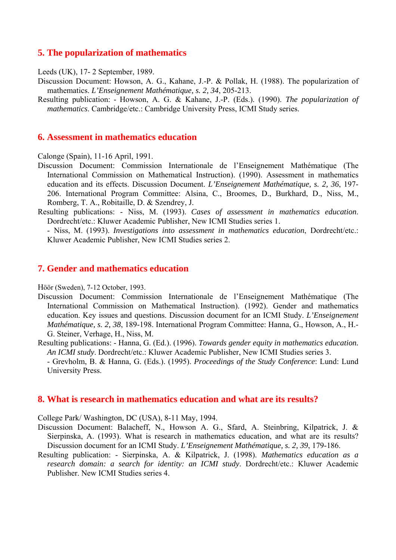# **5. The popularization of mathematics**

Leeds (UK), 17- 2 September, 1989.

- Discussion Document: Howson, A. G., Kahane, J.-P. & Pollak, H. (1988). The popularization of mathematics. *L'Enseignement Mathématique, s. 2, 34*, 205-213.
- Resulting publication: Howson, A. G. & Kahane, J.-P. (Eds.). (1990). *The popularization of mathematics*. Cambridge/etc.: Cambridge University Press, ICMI Study series.

### **6. Assessment in mathematics education**

Calonge (Spain), 11-16 April, 1991.

- Discussion Document: Commission Internationale de l'Enseignement Mathématique (The International Commission on Mathematical Instruction). (1990). Assessment in mathematics education and its effects. Discussion Document. *L'Enseignement Mathématique, s. 2, 36*, 197- 206. International Program Committee: Alsina, C., Broomes, D., Burkhard, D., Niss, M., Romberg, T. A., Robitaille, D. & Szendrey, J.
- Resulting publications: Niss, M. (1993). *Cases of assessment in mathematics education*. Dordrecht/etc.: Kluwer Academic Publisher, New ICMI Studies series 1.
	- Niss, M. (1993). *Investigations into assessment in mathematics education*, Dordrecht/etc.: Kluwer Academic Publisher, New ICMI Studies series 2.

### **7. Gender and mathematics education**

Höör (Sweden), 7-12 October, 1993.

- Discussion Document: Commission Internationale de l'Enseignement Mathématique (The International Commission on Mathematical Instruction). (1992). Gender and mathematics education. Key issues and questions. Discussion document for an ICMI Study. *L'Enseignement Mathématique, s. 2, 38*, 189-198. International Program Committee: Hanna, G., Howson, A., H.- G. Steiner, Verhage, H., Niss, M.
- Resulting publications: Hanna, G. (Ed.). (1996). *Towards gender equity in mathematics education. An ICMI study*. Dordrecht/etc.: Kluwer Academic Publisher, New ICMI Studies series 3. - Grevholm, B. & Hanna, G. (Eds.). (1995). *Proceedings of the Study Conference*: Lund: Lund University Press.

### **8. What is research in mathematics education and what are its results?**

College Park/ Washington, DC (USA), 8-11 May, 1994.

- Discussion Document: Balacheff, N., Howson A. G., Sfard, A. Steinbring, Kilpatrick, J. & Sierpinska, A. (1993). What is research in mathematics education, and what are its results? Discussion document for an ICMI Study. *L'Enseignement Mathématique, s. 2, 39*, 179-186.
- Resulting publication: Sierpinska, A. & Kilpatrick, J. (1998). *Mathematics education as a research domain: a search for identity: an ICMI study*. Dordrecht/etc.: Kluwer Academic Publisher. New ICMI Studies series 4.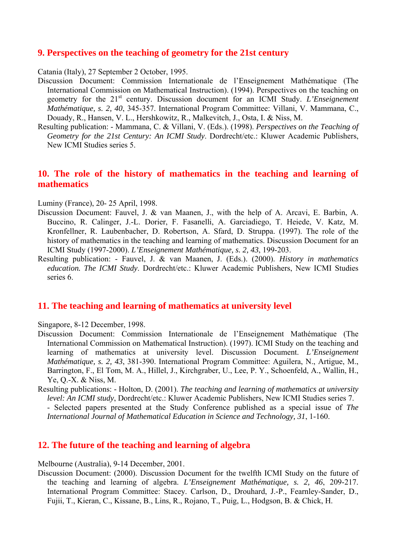### **9. Perspectives on the teaching of geometry for the 21st century**

Catania (Italy), 27 September 2 October, 1995.

- Discussion Document: Commission Internationale de l'Enseignement Mathématique (The International Commission on Mathematical Instruction). (1994). Perspectives on the teaching on geometry for the 21st century. Discussion document for an ICMI Study. *L'Enseignement Mathématique, s. 2, 40*, 345-357. International Program Committee: Villani, V. Mammana, C., Douady, R., Hansen, V. L., Hershkowitz, R., Malkevitch, J., Osta, I. & Niss, M.
- Resulting publication: Mammana, C. & Villani, V. (Eds.). (1998). *Perspectives on the Teaching of Geometry for the 21st Century: An ICMI Study*. Dordrecht/etc.: Kluwer Academic Publishers, New ICMI Studies series 5.

# **10. The role of the history of mathematics in the teaching and learning of mathematics**

#### Luminy (France), 20- 25 April, 1998.

- Discussion Document: Fauvel, J. & van Maanen, J., with the help of A. Arcavi, E. Barbin, A. Buccino, R. Calinger, J.-L. Dorier, F. Fasanelli, A. Garciadiego, T. Heiede, V. Katz, M. Kronfellner, R. Laubenbacher, D. Robertson, A. Sfard, D. Struppa. (1997). The role of the history of mathematics in the teaching and learning of mathematics. Discussion Document for an ICMI Study (1997-2000). *L'Enseignement Mathématique, s. 2, 43*, 199-203.
- Resulting publication: Fauvel, J. & van Maanen, J. (Eds.). (2000). *History in mathematics education. The ICMI Study*. Dordrecht/etc.: Kluwer Academic Publishers, New ICMI Studies series 6.

### **11. The teaching and learning of mathematics at university level**

Singapore, 8-12 December, 1998.

- Discussion Document: Commission Internationale de l'Enseignement Mathématique (The International Commission on Mathematical Instruction). (1997). ICMI Study on the teaching and learning of mathematics at university level. Discussion Document. *L'Enseignement Mathématique, s. 2, 43*, 381-390. International Program Committee: Aguilera, N., Artigue, M., Barrington, F., El Tom, M. A., Hillel, J., Kirchgraber, U., Lee, P. Y., Schoenfeld, A., Wallin, H., Ye, Q.-X. & Niss, M.
- Resulting publications: Holton, D. (2001). *The teaching and learning of mathematics at university level: An ICMI study*, Dordrecht/etc.: Kluwer Academic Publishers, New ICMI Studies series 7. - Selected papers presented at the Study Conference published as a special issue of *The International Journal of Mathematical Education in Science and Technology, 31*, 1-160.

# **12. The future of the teaching and learning of algebra**

Melbourne (Australia), 9-14 December, 2001.

Discussion Document: (2000). Discussion Document for the twelfth ICMI Study on the future of the teaching and learning of algebra. *L'Enseignement Mathématique, s. 2, 46*, 209-217. International Program Committee: Stacey. Carlson, D., Drouhard, J.-P., Fearnley-Sander, D., Fujii, T., Kieran, C., Kissane, B., Lins, R., Rojano, T., Puig, L., Hodgson, B. & Chick, H.